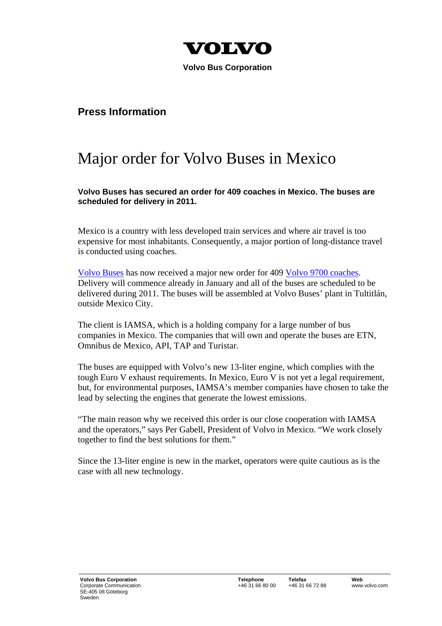

 **Volvo Bus Corporation** 

## **Press Information**

## Major order for Volvo Buses in Mexico

**Volvo Buses has secured an order for 409 coaches in Mexico. The buses are scheduled for delivery in 2011.** 

Mexico is a country with less developed train services and where air travel is too expensive for most inhabitants. Consequently, a major portion of long-distance travel is conducted using coaches.

Volvo Buses has now received a major new order for 409 Volvo 9700 coaches. Delivery will commence already in January and all of the buses are scheduled to be delivered during 2011. The buses will be assembled at Volvo Buses' plant in Tultitlán, outside Mexico City.

The client is IAMSA, which is a holding company for a large number of bus companies in Mexico. The companies that will own and operate the buses are ETN, Omnibus de Mexico, API, TAP and Turistar.

The buses are equipped with Volvo's new 13-liter engine, which complies with the tough Euro V exhaust requirements. In Mexico, Euro V is not yet a legal requirement, but, for environmental purposes, IAMSA's member companies have chosen to take the lead by selecting the engines that generate the lowest emissions.

"The main reason why we received this order is our close cooperation with IAMSA and the operators," says Per Gabell, President of Volvo in Mexico. "We work closely together to find the best solutions for them."

Since the 13-liter engine is new in the market, operators were quite cautious as is the case with all new technology.